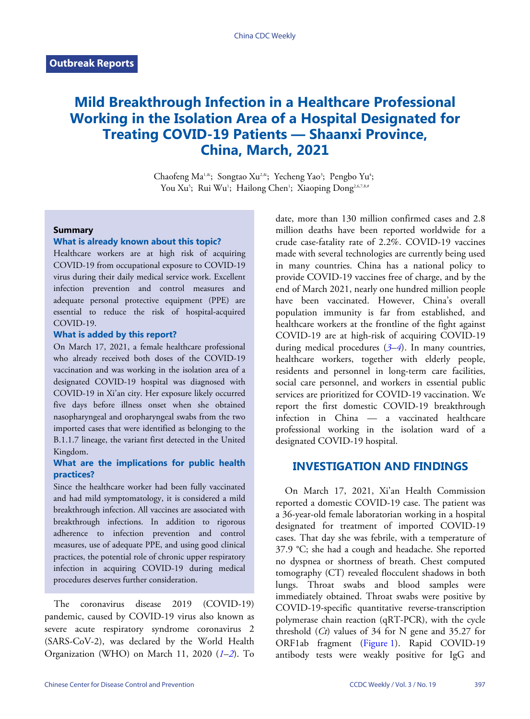# **Mild Breakthrough Infection in a Healthcare Professional Working in the Isolation Area of a Hospital Designated for Treating COVID-19 Patients — Shaanxi Province, China, March, 2021**

Chaofeng Ma<sup>1,&</sup>; Songtao Xu<sup>2,&</sup>; Yecheng Yao<sup>3</sup>; Pengbo Yu<sup>4</sup>; You Xu<sup>5</sup>; Rui Wu<sup>1</sup>; Hailong Chen<sup>1</sup>; Xiaoping Dong<sup>2,6,7,8,4</sup>

#### **Summary**

## **What is already known about this topic?**

Healthcare workers are at high risk of acquiring COVID-19 from occupational exposure to COVID-19 virus during their daily medical service work. Excellent infection prevention and control measures and adequate personal protective equipment (PPE) are essential to reduce the risk of hospital-acquired COVID-19.

#### **What is added by this report?**

On March 17, 2021, a female healthcare professional who already received both doses of the COVID-19 vaccination and was working in the isolation area of a designated COVID-19 hospital was diagnosed with COVID-19 in Xi'an city. Her exposure likely occurred five days before illness onset when she obtained nasopharyngeal and oropharyngeal swabs from the two imported cases that were identified as belonging to the B.1.1.7 lineage, the variant first detected in the United Kingdom.

### **What are the implications for public health practices?**

Since the healthcare worker had been fully vaccinated and had mild symptomatology, it is considered a mild breakthrough infection. All vaccines are associated with breakthrough infections. In addition to rigorous adherence to infection prevention and control measures, use of adequate PPE, and using good clinical practices, the potential role of chronic upper respiratory infection in acquiring COVID-19 during medical procedures deserves further consideration.

The coronavirus disease 2019 (COVID-19) pandemic, caused by COVID-19 virus also known as severe acute respiratory syndrome coronavirus 2 (SARS-CoV-2), was declared by the Worl[d](#page-3-0) [H](#page-3-1)ealth Organization (WHO) on March 11, 2020 (*[1](#page-3-0)*–*[2](#page-3-1)*). To date, more than 130 million confirmed cases and 2.8 million deaths have been reported worldwide for a crude case-fatality rate of 2.2%. COVID-19 vaccines made with several technologies are currently being used in many countries. China has a national policy to provide COVID-19 vaccines free of charge, and by the end of March 2021, nearly one hundred million people have been vaccinated. However, China's overall population immunity is far from established, and healthcare workers at the frontline of the fight against COVID-19 are at high-risk of acquiring COVID-19 during medical procedures (*[3](#page-3-2)*–*[4](#page-3-3)*). In many countries, healthcare workers, together with elderly people, residents and personnel in long-term care facilities, social care personnel, and workers in essential public services are prioritized for COVID-19 vaccination. We report the first domestic COVID-19 breakthrough infection in China — a vaccinated healthcare professional working in the isolation ward of a designated COVID-19 hospital.

# **INVESTIGATION AND FINDINGS**

On March 17, 2021, Xi'an Health Commission reported a domestic COVID-19 case. The patient was a 36-year-old female laboratorian working in a hospital designated for treatment of imported COVID-19 cases. That day she was febrile, with a temperature of 37.9 °C; she had a cough and headache. She reported no dyspnea or shortness of breath. Chest computed tomography (CT) revealed flocculent shadows in both lungs. Throat swabs and blood samples were immediately obtained. Throat swabs were positive by COVID-19-specific quantitative reverse-transcription polymerase chain reaction (qRT-PCR), with the cycle threshold (*Ct*) values of 34 for N gene and 35.27 for ORF1ab fragment ([Figure 1](#page-1-0)). Rapid COVID-19 antibody tests were weakly positive for IgG and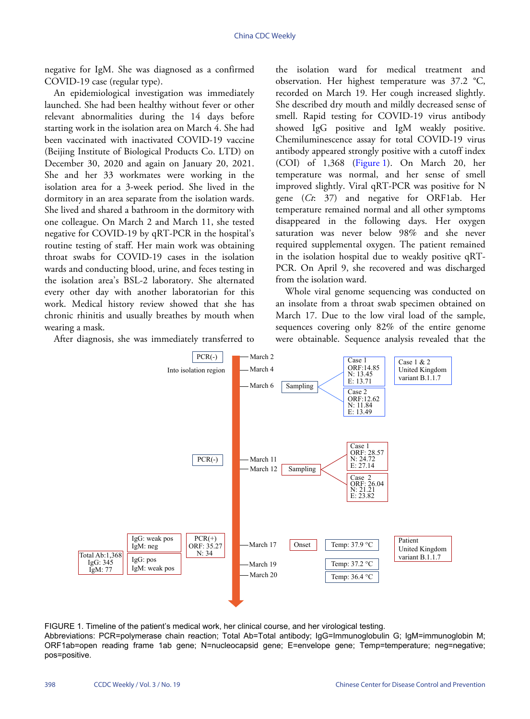negative for IgM. She was diagnosed as a confirmed COVID-19 case (regular type).

An epidemiological investigation was immediately launched. She had been healthy without fever or other relevant abnormalities during the 14 days before starting work in the isolation area on March 4. She had been vaccinated with inactivated COVID-19 vaccine (Beijing Institute of Biological Products Co. LTD) on December 30, 2020 and again on January 20, 2021. She and her 33 workmates were working in the isolation area for a 3-week period. She lived in the dormitory in an area separate from the isolation wards. She lived and shared a bathroom in the dormitory with one colleague. On March 2 and March 11, she tested negative for COVID-19 by qRT-PCR in the hospital's routine testing of staff. Her main work was obtaining throat swabs for COVID-19 cases in the isolation wards and conducting blood, urine, and feces testing in the isolation area's BSL-2 laboratory. She alternated every other day with another laboratorian for this work. Medical history review showed that she has chronic rhinitis and usually breathes by mouth when wearing a mask.

<span id="page-1-0"></span>After diagnosis, she was immediately transferred to

the isolation ward for medical treatment and observation. Her highest temperature was 37.2 °C, recorded on March 19. Her cough increased slightly. She described dry mouth and mildly decreased sense of smell. Rapid testing for COVID-19 virus antibody showed IgG positive and IgM weakly positive. Chemiluminescence assay for total COVID-19 virus antibody appeared strongly positive with a cutoff index (COI) of 1,368 [\(Figure 1\)](#page-1-0). On March 20, her temperature was normal, and her sense of smell improved slightly. Viral qRT-PCR was positive for N gene (*Ct*: 37) and negative for ORF1ab. Her temperature remained normal and all other symptoms disappeared in the following days. Her oxygen saturation was never below 98% and she never required supplemental oxygen. The patient remained in the isolation hospital due to weakly positive qRT-PCR. On April 9, she recovered and was discharged from the isolation ward.

Whole viral genome sequencing was conducted on an insolate from a throat swab specimen obtained on March 17. Due to the low viral load of the sample, sequences covering only 82% of the entire genome were obtainable. Sequence analysis revealed that the



FIGURE 1. Timeline of the patient's medical work, her clinical course, and her virological testing.

Abbreviations: PCR=polymerase chain reaction; Total Ab=Total antibody; IgG=Immunoglobulin G; IgM=immunoglobin M; ORF1ab=open reading frame 1ab gene; N=nucleocapsid gene; E=envelope gene; Temp=temperature; neg=negative; pos=positive.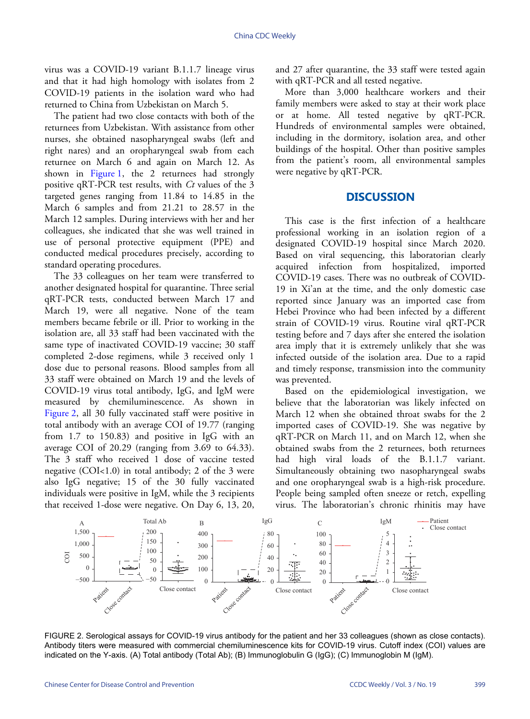virus was a COVID-19 variant B.1.1.7 lineage virus and that it had high homology with isolates from 2 COVID-19 patients in the isolation ward who had returned to China from Uzbekistan on March 5.

The patient had two close contacts with both of the returnees from Uzbekistan. With assistance from other nurses, she obtained nasopharyngeal swabs (left and right nares) and an oropharyngeal swab from each returnee on March 6 and again on March 12. As shown in [Figure 1](#page-1-0), the 2 returnees had strongly positive qRT-PCR test results, with *Ct* values of the 3 targeted genes ranging from 11.84 to 14.85 in the March 6 samples and from 21.21 to 28.57 in the March 12 samples. During interviews with her and her colleagues, she indicated that she was well trained in use of personal protective equipment (PPE) and conducted medical procedures precisely, according to standard operating procedures.

The 33 colleagues on her team were transferred to another designated hospital for quarantine. Three serial qRT-PCR tests, conducted between March 17 and March 19, were all negative. None of the team members became febrile or ill. Prior to working in the isolation are, all 33 staff had been vaccinated with the same type of inactivated COVID-19 vaccine; 30 staff completed 2-dose regimens, while 3 received only 1 dose due to personal reasons. Blood samples from all 33 staff were obtained on March 19 and the levels of COVID-19 virus total antibody, IgG, and IgM were [measured](#page-2-0) by chemiluminescence. As shown in [Figure 2,](#page-2-0) all 30 fully vaccinated staff were positive in total antibody with an average COI of 19.77 (ranging from 1.7 to 150.83) and positive in IgG with an average COI of 20.29 (ranging from 3.69 to 64.33). The 3 staff who received 1 dose of vaccine tested negative (COI<1.0) in total antibody; 2 of the 3 were also IgG negative; 15 of the 30 fully vaccinated individuals were positive in IgM, while the 3 recipients that received 1-dose were negative. On Day 6, 13, 20,

and 27 after quarantine, the 33 staff were tested again with qRT-PCR and all tested negative.

More than 3,000 healthcare workers and their family members were asked to stay at their work place or at home. All tested negative by qRT-PCR. Hundreds of environmental samples were obtained, including in the dormitory, isolation area, and other buildings of the hospital. Other than positive samples from the patient's room, all environmental samples were negative by qRT-PCR.

## **DISCUSSION**

This case is the first infection of a healthcare professional working in an isolation region of a designated COVID-19 hospital since March 2020. Based on viral sequencing, this laboratorian clearly acquired infection from hospitalized, imported COVID-19 cases. There was no outbreak of COVID-19 in Xi'an at the time, and the only domestic case reported since January was an imported case from Hebei Province who had been infected by a different strain of COVID-19 virus. Routine viral qRT-PCR testing before and 7 days after she entered the isolation area imply that it is extremely unlikely that she was infected outside of the isolation area. Due to a rapid and timely response, transmission into the community was prevented.

Based on the epidemiological investigation, we believe that the laboratorian was likely infected on March 12 when she obtained throat swabs for the 2 imported cases of COVID-19. She was negative by qRT-PCR on March 11, and on March 12, when she obtained swabs from the 2 returnees, both returnees had high viral loads of the B.1.1.7 variant. Simultaneously obtaining two nasopharyngeal swabs and one oropharyngeal swab is a high-risk procedure. People being sampled often sneeze or retch, expelling virus. The laboratorian's chronic rhinitis may have

<span id="page-2-0"></span>

FIGURE 2. Serological assays for COVID-19 virus antibody for the patient and her 33 colleagues (shown as close contacts). Antibody titers were measured with commercial chemiluminescence kits for COVID-19 virus. Cutoff index (COI) values are indicated on the Y-axis. (A) Total antibody (Total Ab); (B) Immunoglobulin G (IgG); (C) Immunoglobin M (IgM).